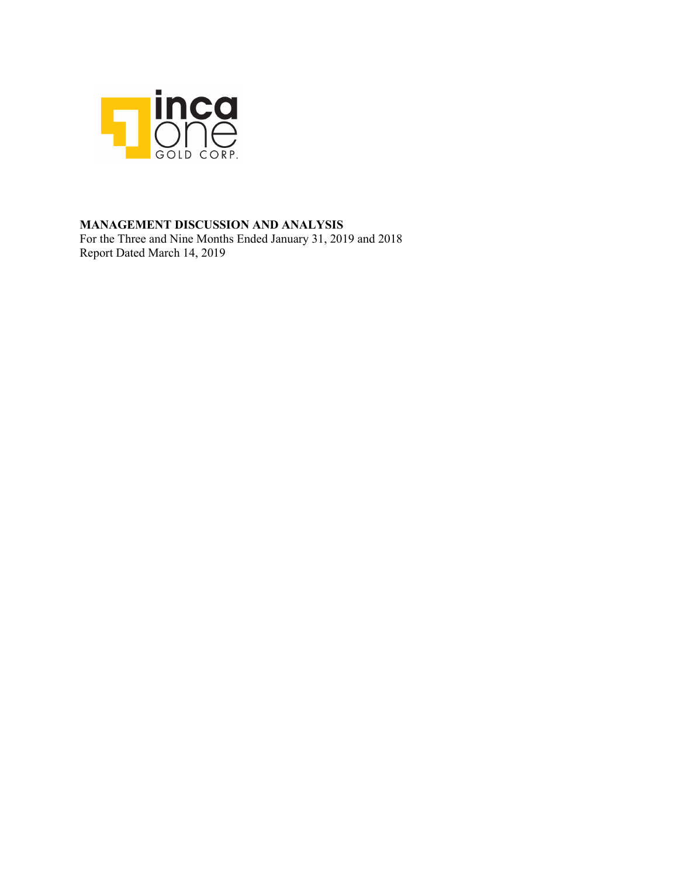

# **MANAGEMENT DISCUSSION AND ANALYSIS**

For the Three and Nine Months Ended January 31, 2019 and 2018 Report Dated March 14, 2019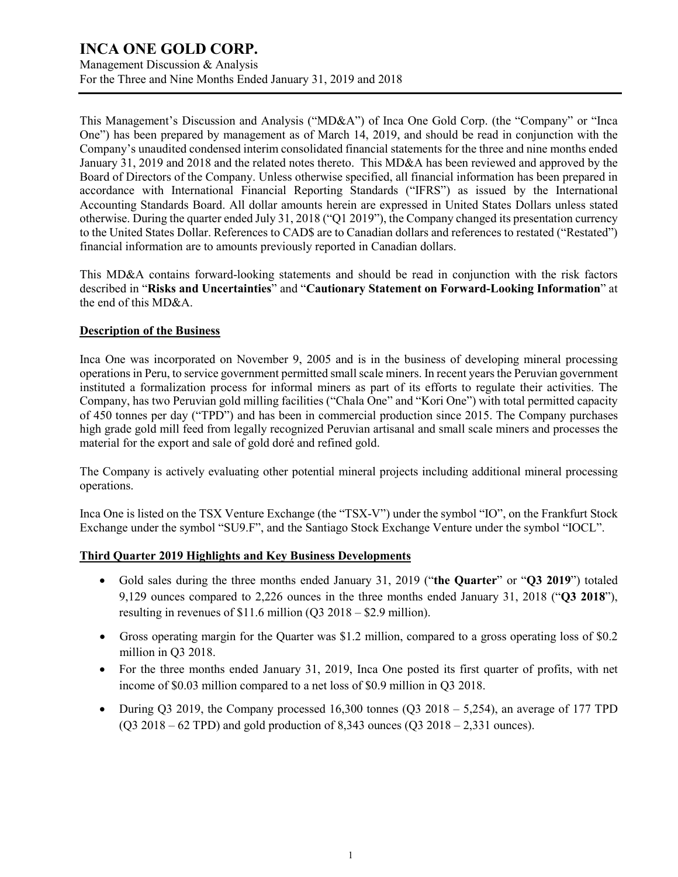Management Discussion & Analysis For the Three and Nine Months Ended January 31, 2019 and 2018

This Management's Discussion and Analysis ("MD&A") of Inca One Gold Corp. (the "Company" or "Inca One") has been prepared by management as of March 14, 2019, and should be read in conjunction with the Company's unaudited condensed interim consolidated financial statements for the three and nine months ended January 31, 2019 and 2018 and the related notes thereto. This MD&A has been reviewed and approved by the Board of Directors of the Company. Unless otherwise specified, all financial information has been prepared in accordance with International Financial Reporting Standards ("IFRS") as issued by the International Accounting Standards Board. All dollar amounts herein are expressed in United States Dollars unless stated otherwise. During the quarter ended July 31, 2018 ("Q1 2019"), the Company changed its presentation currency to the United States Dollar. References to CAD\$ are to Canadian dollars and references to restated ("Restated") financial information are to amounts previously reported in Canadian dollars.

This MD&A contains forward-looking statements and should be read in conjunction with the risk factors described in "**Risks and Uncertainties**" and "**Cautionary Statement on Forward-Looking Information**" at the end of this MD&A.

# **Description of the Business**

Inca One was incorporated on November 9, 2005 and is in the business of developing mineral processing operations in Peru, to service government permitted small scale miners. In recent years the Peruvian government instituted a formalization process for informal miners as part of its efforts to regulate their activities. The Company, has two Peruvian gold milling facilities ("Chala One" and "Kori One") with total permitted capacity of 450 tonnes per day ("TPD") and has been in commercial production since 2015. The Company purchases high grade gold mill feed from legally recognized Peruvian artisanal and small scale miners and processes the material for the export and sale of gold doré and refined gold.

The Company is actively evaluating other potential mineral projects including additional mineral processing operations.

Inca One is listed on the TSX Venture Exchange (the "TSX-V") under the symbol "IO", on the Frankfurt Stock Exchange under the symbol "SU9.F", and the Santiago Stock Exchange Venture under the symbol "IOCL".

# **Third Quarter 2019 Highlights and Key Business Developments**

- Gold sales during the three months ended January 31, 2019 ("**the Quarter**" or "**Q3 2019**") totaled 9,129 ounces compared to 2,226 ounces in the three months ended January 31, 2018 ("**Q3 2018**"), resulting in revenues of \$11.6 million (Q3 2018 – \$2.9 million).
- Gross operating margin for the Quarter was \$1.2 million, compared to a gross operating loss of \$0.2 million in Q3 2018.
- For the three months ended January 31, 2019, Inca One posted its first quarter of profits, with net income of \$0.03 million compared to a net loss of \$0.9 million in Q3 2018.
- During Q3 2019, the Company processed 16,300 tonnes (Q3 2018 5,254), an average of 177 TPD  $(Q3 2018 - 62 \text{ TPD})$  and gold production of 8,343 ounces  $(Q3 2018 - 2,331$  ounces).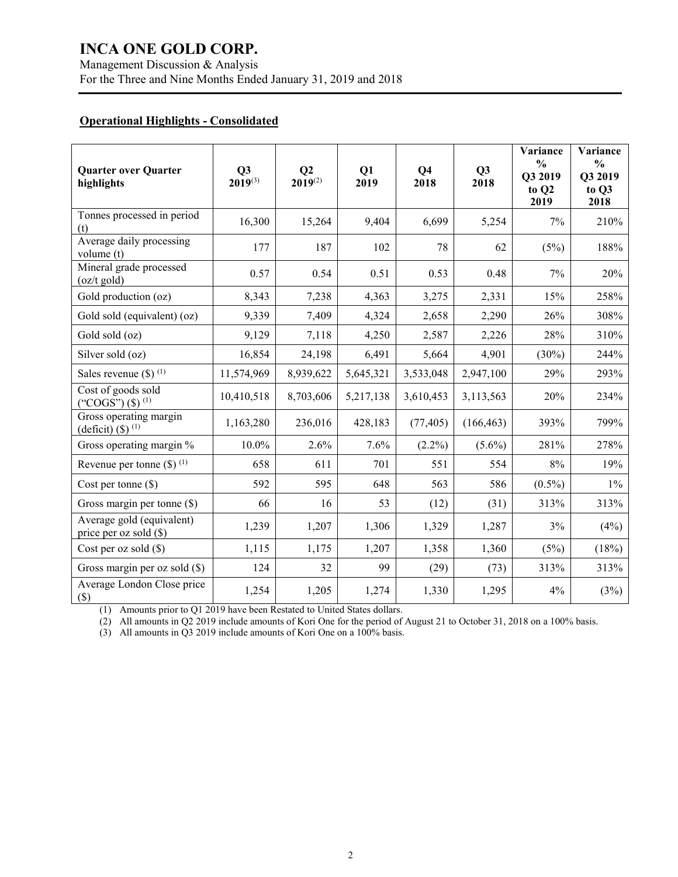# **Operational Highlights - Consolidated**

| <b>Quarter over Quarter</b><br>highlights                    | Q3<br>$2019^{(3)}$ | Q <sub>2</sub><br>$2019^{(2)}$ | Q1<br>2019 | Q <sub>4</sub><br>2018 | Q3<br>2018 | Variance<br>$\frac{0}{0}$<br>Q3 2019<br>to Q2<br>2019 | Variance<br>$\frac{0}{0}$<br>Q3 2019<br>to Q3<br>2018 |
|--------------------------------------------------------------|--------------------|--------------------------------|------------|------------------------|------------|-------------------------------------------------------|-------------------------------------------------------|
| Tonnes processed in period<br>(t)                            | 16,300             | 15,264                         | 9,404      | 6,699                  | 5,254      | 7%                                                    | 210%                                                  |
| Average daily processing<br>volume (t)                       | 177                | 187                            | 102        | 78                     | 62         | (5%)                                                  | 188%                                                  |
| Mineral grade processed<br>$(oz/t$ gold)                     | 0.57               | 0.54                           | 0.51       | 0.53                   | 0.48       | 7%                                                    | 20%                                                   |
| Gold production (oz)                                         | 8,343              | 7,238                          | 4,363      | 3,275                  | 2,331      | 15%                                                   | 258%                                                  |
| Gold sold (equivalent) (oz)                                  | 9,339              | 7,409                          | 4,324      | 2,658                  | 2,290      | 26%                                                   | 308%                                                  |
| Gold sold (oz)                                               | 9,129              | 7,118                          | 4,250      | 2,587                  | 2,226      | 28%                                                   | 310%                                                  |
| Silver sold (oz)                                             | 16,854             | 24,198                         | 6,491      | 5,664                  | 4,901      | $(30\%)$                                              | 244%                                                  |
| Sales revenue $(\$)$ <sup>(1)</sup>                          | 11,574,969         | 8,939,622                      | 5,645,321  | 3,533,048              | 2,947,100  | 29%                                                   | 293%                                                  |
| Cost of goods sold<br>("COGS") $($ \$) $^{(1)}$              | 10,410,518         | 8,703,606                      | 5,217,138  | 3,610,453              | 3,113,563  | 20%                                                   | 234%                                                  |
| Gross operating margin<br>(deficit) $($ ) $($ <sup>1</sup> ) | 1,163,280          | 236,016                        | 428,183    | (77, 405)              | (166, 463) | 393%                                                  | 799%                                                  |
| Gross operating margin %                                     | $10.0\%$           | 2.6%                           | 7.6%       | $(2.2\%)$              | $(5.6\%)$  | 281%                                                  | 278%                                                  |
| Revenue per tonne $(\$)$ <sup>(1)</sup>                      | 658                | 611                            | 701        | 551                    | 554        | 8%                                                    | 19%                                                   |
| Cost per tonne $(\$)$                                        | 592                | 595                            | 648        | 563                    | 586        | $(0.5\%)$                                             | $1\%$                                                 |
| Gross margin per tonne $(\$)$                                | 66                 | 16                             | 53         | (12)                   | (31)       | 313%                                                  | 313%                                                  |
| Average gold (equivalent)<br>price per oz sold (\$)          | 1,239              | 1,207                          | 1,306      | 1,329                  | 1,287      | 3%                                                    | (4%)                                                  |
| Cost per oz sold $(\$)$                                      | 1,115              | 1,175                          | 1,207      | 1,358                  | 1,360      | (5%)                                                  | (18%)                                                 |
| Gross margin per oz sold (\$)                                | 124                | 32                             | 99         | (29)                   | (73)       | 313%                                                  | 313%                                                  |
| Average London Close price<br>$(\$)$                         | 1,254              | 1,205                          | 1,274      | 1,330                  | 1,295      | 4%                                                    | (3%)                                                  |

(1) Amounts prior to Q1 2019 have been Restated to United States dollars.

(2) All amounts in Q2 2019 include amounts of Kori One for the period of August 21 to October 31, 2018 on a 100% basis.

(3) All amounts in Q3 2019 include amounts of Kori One on a 100% basis.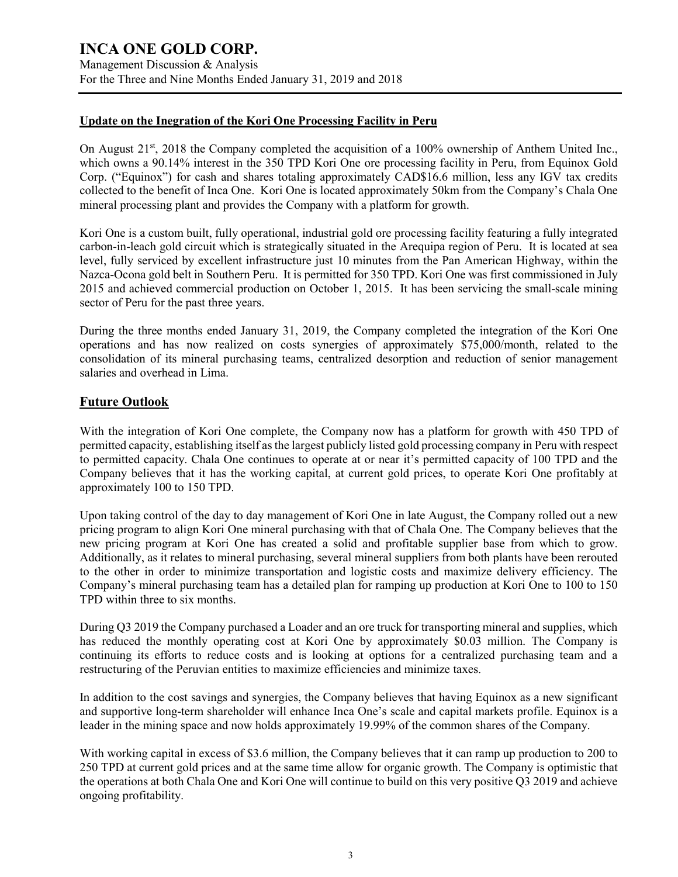# **Update on the Inegration of the Kori One Processing Facility in Peru**

On August 21<sup>st</sup>, 2018 the Company completed the acquisition of a 100% ownership of Anthem United Inc., which owns a 90.14% interest in the 350 TPD Kori One ore processing facility in Peru, from Equinox Gold Corp. ("Equinox") for cash and shares totaling approximately CAD\$16.6 million, less any IGV tax credits collected to the benefit of Inca One. Kori One is located approximately 50km from the Company's Chala One mineral processing plant and provides the Company with a platform for growth.

Kori One is a custom built, fully operational, industrial gold ore processing facility featuring a fully integrated carbon-in-leach gold circuit which is strategically situated in the Arequipa region of Peru. It is located at sea level, fully serviced by excellent infrastructure just 10 minutes from the Pan American Highway, within the Nazca-Ocona gold belt in Southern Peru. It is permitted for 350 TPD. Kori One was first commissioned in July 2015 and achieved commercial production on October 1, 2015. It has been servicing the small-scale mining sector of Peru for the past three years.

During the three months ended January 31, 2019, the Company completed the integration of the Kori One operations and has now realized on costs synergies of approximately \$75,000/month, related to the consolidation of its mineral purchasing teams, centralized desorption and reduction of senior management salaries and overhead in Lima.

# **Future Outlook**

With the integration of Kori One complete, the Company now has a platform for growth with 450 TPD of permitted capacity, establishing itself as the largest publicly listed gold processing company in Peru with respect to permitted capacity. Chala One continues to operate at or near it's permitted capacity of 100 TPD and the Company believes that it has the working capital, at current gold prices, to operate Kori One profitably at approximately 100 to 150 TPD.

Upon taking control of the day to day management of Kori One in late August, the Company rolled out a new pricing program to align Kori One mineral purchasing with that of Chala One. The Company believes that the new pricing program at Kori One has created a solid and profitable supplier base from which to grow. Additionally, as it relates to mineral purchasing, several mineral suppliers from both plants have been rerouted to the other in order to minimize transportation and logistic costs and maximize delivery efficiency. The Company's mineral purchasing team has a detailed plan for ramping up production at Kori One to 100 to 150 TPD within three to six months.

During Q3 2019 the Company purchased a Loader and an ore truck for transporting mineral and supplies, which has reduced the monthly operating cost at Kori One by approximately \$0.03 million. The Company is continuing its efforts to reduce costs and is looking at options for a centralized purchasing team and a restructuring of the Peruvian entities to maximize efficiencies and minimize taxes.

In addition to the cost savings and synergies, the Company believes that having Equinox as a new significant and supportive long-term shareholder will enhance Inca One's scale and capital markets profile. Equinox is a leader in the mining space and now holds approximately 19.99% of the common shares of the Company.

With working capital in excess of \$3.6 million, the Company believes that it can ramp up production to 200 to 250 TPD at current gold prices and at the same time allow for organic growth. The Company is optimistic that the operations at both Chala One and Kori One will continue to build on this very positive Q3 2019 and achieve ongoing profitability.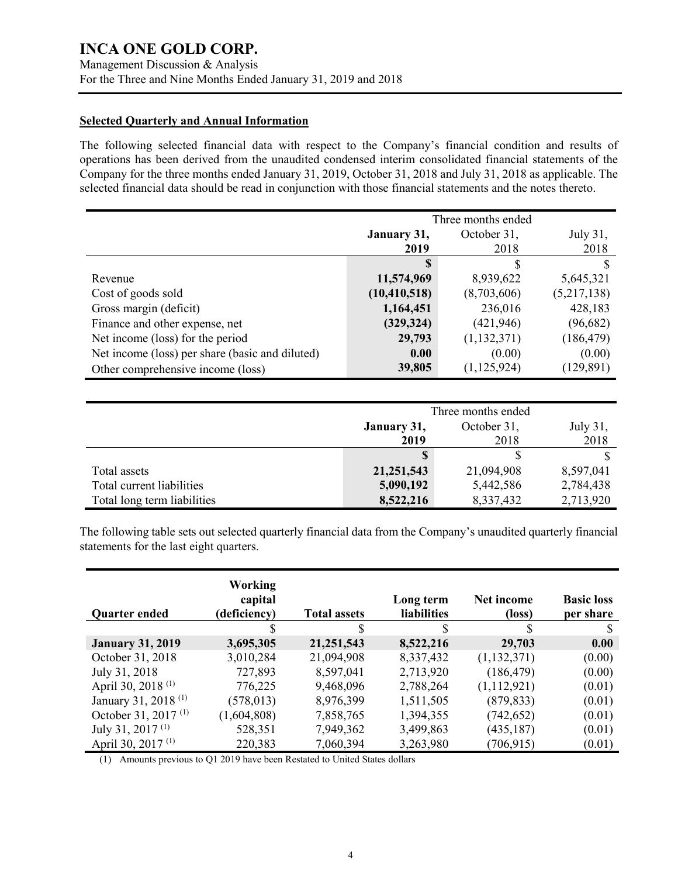Management Discussion & Analysis For the Three and Nine Months Ended January 31, 2019 and 2018

# **Selected Quarterly and Annual Information**

The following selected financial data with respect to the Company's financial condition and results of operations has been derived from the unaudited condensed interim consolidated financial statements of the Company for the three months ended January 31, 2019, October 31, 2018 and July 31, 2018 as applicable. The selected financial data should be read in conjunction with those financial statements and the notes thereto.

|                                                 | Three months ended |               |             |
|-------------------------------------------------|--------------------|---------------|-------------|
|                                                 | January 31,        | October 31,   | July 31,    |
|                                                 | 2019               | 2018          | 2018        |
|                                                 | S                  | S             |             |
| Revenue                                         | 11,574,969         | 8,939,622     | 5,645,321   |
| Cost of goods sold                              | (10, 410, 518)     | (8,703,606)   | (5,217,138) |
| Gross margin (deficit)                          | 1,164,451          | 236,016       | 428,183     |
| Finance and other expense, net                  | (329, 324)         | (421, 946)    | (96,682)    |
| Net income (loss) for the period                | 29,793             | (1,132,371)   | (186, 479)  |
| Net income (loss) per share (basic and diluted) | 0.00               | (0.00)        | (0.00)      |
| Other comprehensive income (loss)               | 39,805             | (1, 125, 924) | (129, 891)  |

|                             | Three months ended                     |            |           |  |
|-----------------------------|----------------------------------------|------------|-----------|--|
|                             | July 31,<br>October 31,<br>January 31, |            |           |  |
|                             | 2019                                   | 2018       | 2018      |  |
|                             |                                        |            |           |  |
| Total assets                | 21, 251, 543                           | 21,094,908 | 8,597,041 |  |
| Total current liabilities   | 5,090,192                              | 5,442,586  | 2,784,438 |  |
| Total long term liabilities | 8,522,216                              | 8,337,432  | 2,713,920 |  |

The following table sets out selected quarterly financial data from the Company's unaudited quarterly financial statements for the last eight quarters.

| <b>Quarter ended</b>            | <b>Working</b><br>capital<br>(deficiency) | <b>Total assets</b> | Long term<br><b>liabilities</b> | Net income<br>(loss) | <b>Basic loss</b><br>per share |
|---------------------------------|-------------------------------------------|---------------------|---------------------------------|----------------------|--------------------------------|
|                                 |                                           | \$                  | \$                              | \$                   |                                |
| <b>January 31, 2019</b>         | 3,695,305                                 | 21, 251, 543        | 8,522,216                       | 29,703               | 0.00                           |
| October 31, 2018                | 3,010,284                                 | 21,094,908          | 8,337,432                       | (1,132,371)          | (0.00)                         |
| July 31, 2018                   | 727,893                                   | 8,597,041           | 2,713,920                       | (186, 479)           | (0.00)                         |
| April 30, 2018 <sup>(1)</sup>   | 776,225                                   | 9,468,096           | 2,788,264                       | (1,112,921)          | (0.01)                         |
| January 31, 2018 <sup>(1)</sup> | (578, 013)                                | 8,976,399           | 1,511,505                       | (879, 833)           | (0.01)                         |
| October 31, 2017 <sup>(1)</sup> | (1,604,808)                               | 7,858,765           | 1,394,355                       | (742, 652)           | (0.01)                         |
| July 31, 2017 $(1)$             | 528,351                                   | 7,949,362           | 3,499,863                       | (435, 187)           | (0.01)                         |
| April 30, 2017 <sup>(1)</sup>   | 220,383                                   | 7,060,394           | 3,263,980                       | (706, 915)           | (0.01)                         |

(1) Amounts previous to Q1 2019 have been Restated to United States dollars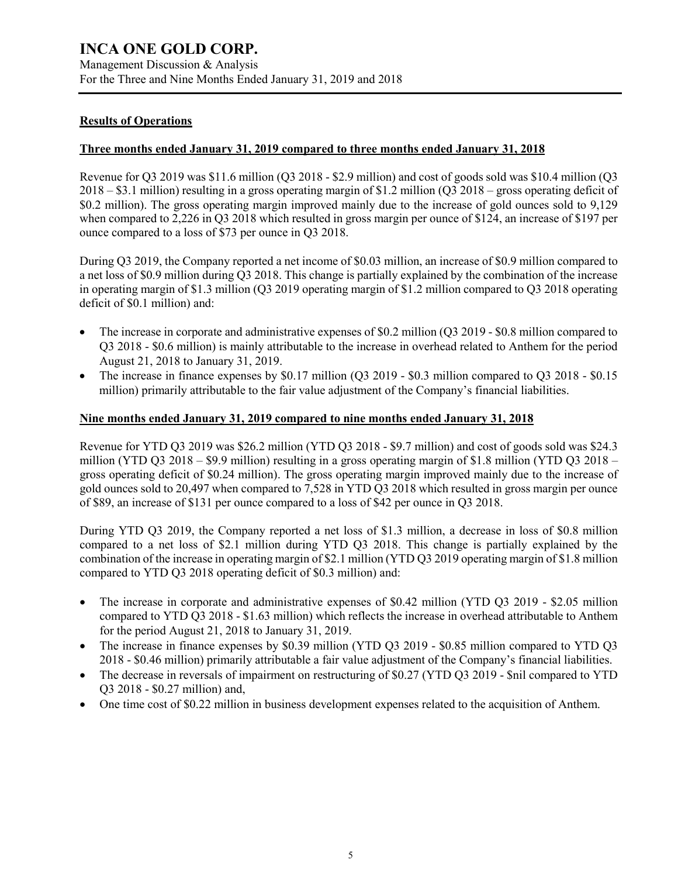# **Results of Operations**

# **Three months ended January 31, 2019 compared to three months ended January 31, 2018**

Revenue for Q3 2019 was \$11.6 million (Q3 2018 - \$2.9 million) and cost of goods sold was \$10.4 million (Q3 2018 – \$3.1 million) resulting in a gross operating margin of \$1.2 million (Q3 2018 – gross operating deficit of \$0.2 million). The gross operating margin improved mainly due to the increase of gold ounces sold to 9,129 when compared to 2,226 in Q3 2018 which resulted in gross margin per ounce of \$124, an increase of \$197 per ounce compared to a loss of \$73 per ounce in Q3 2018.

During Q3 2019, the Company reported a net income of \$0.03 million, an increase of \$0.9 million compared to a net loss of \$0.9 million during Q3 2018. This change is partially explained by the combination of the increase in operating margin of \$1.3 million (Q3 2019 operating margin of \$1.2 million compared to Q3 2018 operating deficit of \$0.1 million) and:

- The increase in corporate and administrative expenses of \$0.2 million (Q3 2019 \$0.8 million compared to Q3 2018 - \$0.6 million) is mainly attributable to the increase in overhead related to Anthem for the period August 21, 2018 to January 31, 2019.
- The increase in finance expenses by \$0.17 million (Q3 2019 \$0.3 million compared to Q3 2018 \$0.15 million) primarily attributable to the fair value adjustment of the Company's financial liabilities.

# **Nine months ended January 31, 2019 compared to nine months ended January 31, 2018**

Revenue for YTD Q3 2019 was \$26.2 million (YTD Q3 2018 - \$9.7 million) and cost of goods sold was \$24.3 million (YTD Q3 2018 – \$9.9 million) resulting in a gross operating margin of \$1.8 million (YTD Q3 2018 – gross operating deficit of \$0.24 million). The gross operating margin improved mainly due to the increase of gold ounces sold to 20,497 when compared to 7,528 in YTD Q3 2018 which resulted in gross margin per ounce of \$89, an increase of \$131 per ounce compared to a loss of \$42 per ounce in Q3 2018.

During YTD Q3 2019, the Company reported a net loss of \$1.3 million, a decrease in loss of \$0.8 million compared to a net loss of \$2.1 million during YTD Q3 2018. This change is partially explained by the combination of the increase in operating margin of \$2.1 million (YTD Q3 2019 operating margin of \$1.8 million compared to YTD Q3 2018 operating deficit of \$0.3 million) and:

- The increase in corporate and administrative expenses of \$0.42 million (YTD Q3 2019 \$2.05 million compared to YTD Q3 2018 - \$1.63 million) which reflects the increase in overhead attributable to Anthem for the period August 21, 2018 to January 31, 2019.
- The increase in finance expenses by \$0.39 million (YTD Q3 2019 \$0.85 million compared to YTD Q3 2018 - \$0.46 million) primarily attributable a fair value adjustment of the Company's financial liabilities.
- The decrease in reversals of impairment on restructuring of \$0.27 (YTD O3 2019 \$nil compared to YTD Q3 2018 - \$0.27 million) and,
- One time cost of \$0.22 million in business development expenses related to the acquisition of Anthem.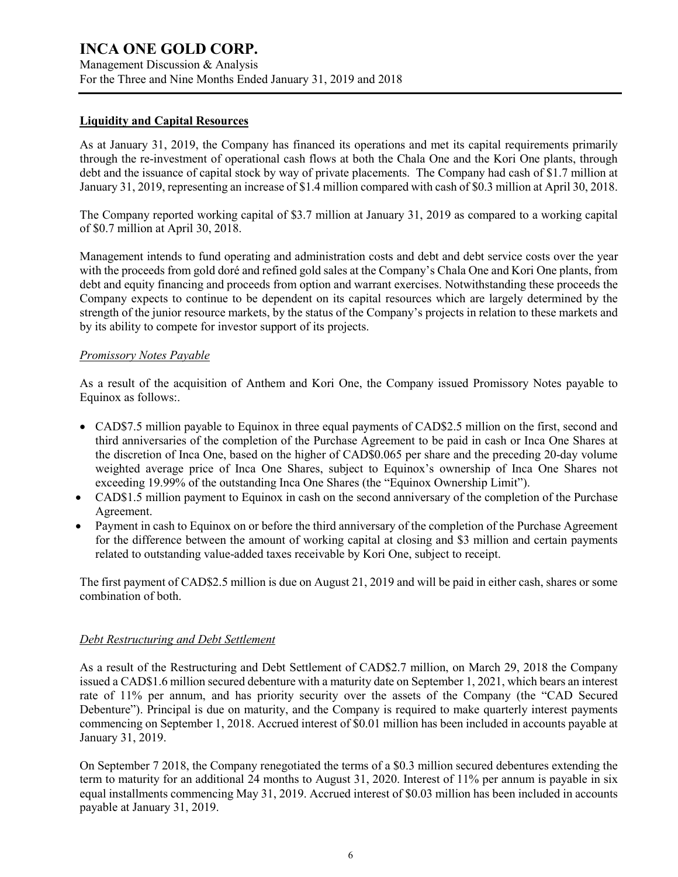Management Discussion & Analysis For the Three and Nine Months Ended January 31, 2019 and 2018

#### **Liquidity and Capital Resources**

As at January 31, 2019, the Company has financed its operations and met its capital requirements primarily through the re-investment of operational cash flows at both the Chala One and the Kori One plants, through debt and the issuance of capital stock by way of private placements. The Company had cash of \$1.7 million at January 31, 2019, representing an increase of \$1.4 million compared with cash of \$0.3 million at April 30, 2018.

The Company reported working capital of \$3.7 million at January 31, 2019 as compared to a working capital of \$0.7 million at April 30, 2018.

Management intends to fund operating and administration costs and debt and debt service costs over the year with the proceeds from gold doré and refined gold sales at the Company's Chala One and Kori One plants, from debt and equity financing and proceeds from option and warrant exercises. Notwithstanding these proceeds the Company expects to continue to be dependent on its capital resources which are largely determined by the strength of the junior resource markets, by the status of the Company's projects in relation to these markets and by its ability to compete for investor support of its projects.

# *Promissory Notes Payable*

As a result of the acquisition of Anthem and Kori One, the Company issued Promissory Notes payable to Equinox as follows:.

- CAD\$7.5 million payable to Equinox in three equal payments of CAD\$2.5 million on the first, second and third anniversaries of the completion of the Purchase Agreement to be paid in cash or Inca One Shares at the discretion of Inca One, based on the higher of CAD\$0.065 per share and the preceding 20-day volume weighted average price of Inca One Shares, subject to Equinox's ownership of Inca One Shares not exceeding 19.99% of the outstanding Inca One Shares (the "Equinox Ownership Limit").
- CAD\$1.5 million payment to Equinox in cash on the second anniversary of the completion of the Purchase Agreement.
- Payment in cash to Equinox on or before the third anniversary of the completion of the Purchase Agreement for the difference between the amount of working capital at closing and \$3 million and certain payments related to outstanding value-added taxes receivable by Kori One, subject to receipt.

The first payment of CAD\$2.5 million is due on August 21, 2019 and will be paid in either cash, shares or some combination of both.

# *Debt Restructuring and Debt Settlement*

As a result of the Restructuring and Debt Settlement of CAD\$2.7 million, on March 29, 2018 the Company issued a CAD\$1.6 million secured debenture with a maturity date on September 1, 2021, which bears an interest rate of 11% per annum, and has priority security over the assets of the Company (the "CAD Secured Debenture"). Principal is due on maturity, and the Company is required to make quarterly interest payments commencing on September 1, 2018. Accrued interest of \$0.01 million has been included in accounts payable at January 31, 2019.

On September 7 2018, the Company renegotiated the terms of a \$0.3 million secured debentures extending the term to maturity for an additional 24 months to August 31, 2020. Interest of 11% per annum is payable in six equal installments commencing May 31, 2019. Accrued interest of \$0.03 million has been included in accounts payable at January 31, 2019.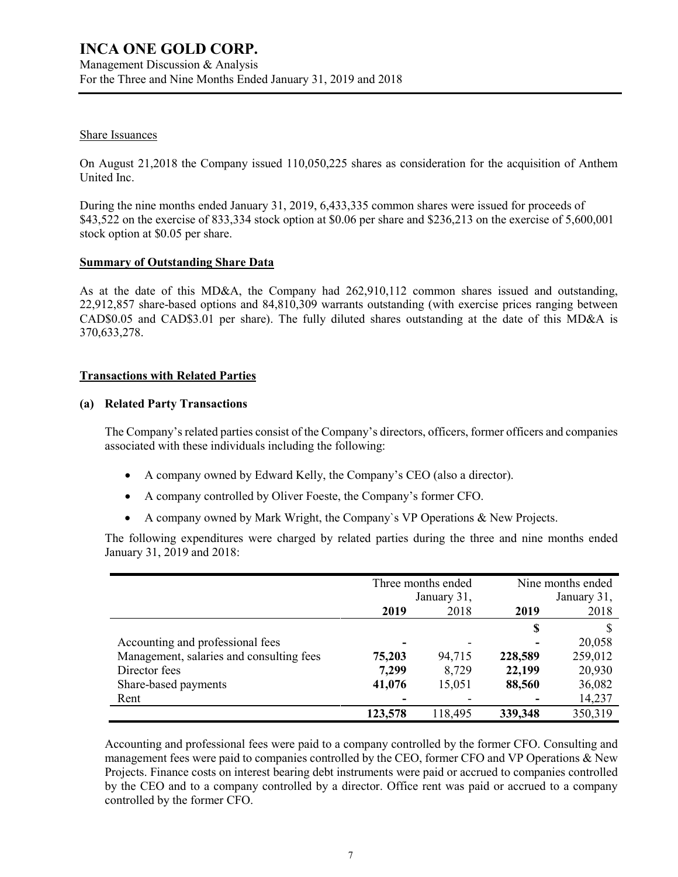#### Share Issuances

On August 21,2018 the Company issued 110,050,225 shares as consideration for the acquisition of Anthem United Inc.

During the nine months ended January 31, 2019, 6,433,335 common shares were issued for proceeds of \$43,522 on the exercise of 833,334 stock option at \$0.06 per share and \$236,213 on the exercise of 5,600,001 stock option at \$0.05 per share.

#### **Summary of Outstanding Share Data**

As at the date of this MD&A, the Company had 262,910,112 common shares issued and outstanding, 22,912,857 share-based options and 84,810,309 warrants outstanding (with exercise prices ranging between CAD\$0.05 and CAD\$3.01 per share). The fully diluted shares outstanding at the date of this MD&A is 370,633,278.

# **Transactions with Related Parties**

#### **(a) Related Party Transactions**

The Company's related parties consist of the Company's directors, officers, former officers and companies associated with these individuals including the following:

- A company owned by Edward Kelly, the Company's CEO (also a director).
- A company controlled by Oliver Foeste, the Company's former CFO.
- A company owned by Mark Wright, the Company`s VP Operations & New Projects.

The following expenditures were charged by related parties during the three and nine months ended January 31, 2019 and 2018:

|                                          | Three months ended<br>January 31, |         | Nine months ended<br>January 31, |         |
|------------------------------------------|-----------------------------------|---------|----------------------------------|---------|
|                                          | 2019                              | 2018    | 2019                             | 2018    |
|                                          |                                   |         | \$                               |         |
| Accounting and professional fees         | ۰                                 |         |                                  | 20,058  |
| Management, salaries and consulting fees | 75,203                            | 94,715  | 228,589                          | 259,012 |
| Director fees                            | 7,299                             | 8,729   | 22,199                           | 20,930  |
| Share-based payments                     | 41,076                            | 15,051  | 88,560                           | 36,082  |
| Rent                                     |                                   |         |                                  | 14,237  |
|                                          | 123,578                           | 118,495 | 339,348                          | 350,319 |

Accounting and professional fees were paid to a company controlled by the former CFO. Consulting and management fees were paid to companies controlled by the CEO, former CFO and VP Operations & New Projects. Finance costs on interest bearing debt instruments were paid or accrued to companies controlled by the CEO and to a company controlled by a director. Office rent was paid or accrued to a company controlled by the former CFO.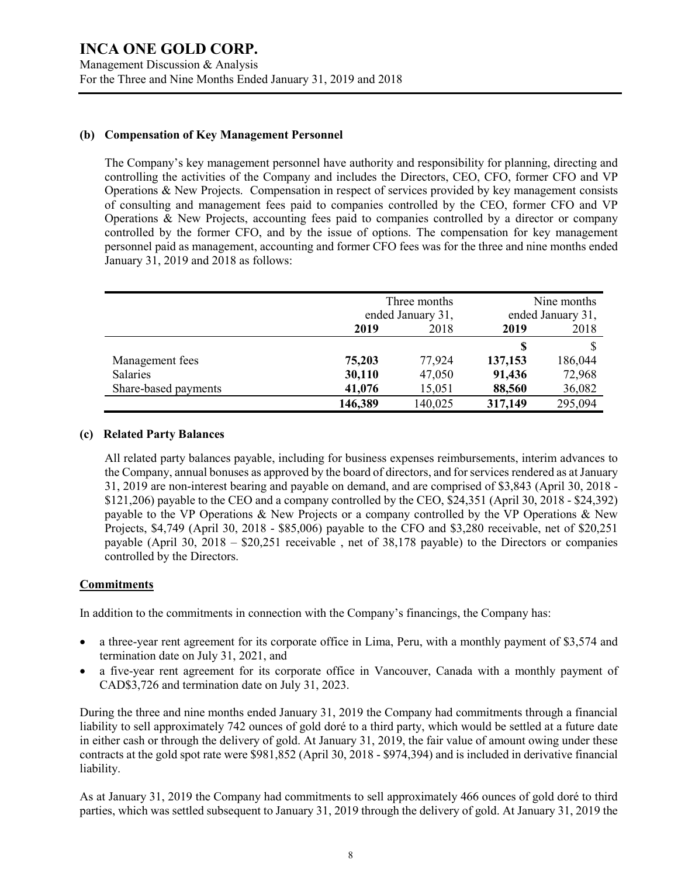# **(b) Compensation of Key Management Personnel**

The Company's key management personnel have authority and responsibility for planning, directing and controlling the activities of the Company and includes the Directors, CEO, CFO, former CFO and VP Operations & New Projects. Compensation in respect of services provided by key management consists of consulting and management fees paid to companies controlled by the CEO, former CFO and VP Operations & New Projects, accounting fees paid to companies controlled by a director or company controlled by the former CFO, and by the issue of options. The compensation for key management personnel paid as management, accounting and former CFO fees was for the three and nine months ended January 31, 2019 and 2018 as follows:

|                      | Three months      |         | Nine months       |         |  |
|----------------------|-------------------|---------|-------------------|---------|--|
|                      | ended January 31, |         | ended January 31, |         |  |
|                      | 2019<br>2018      |         | 2019              | 2018    |  |
|                      |                   |         | S                 |         |  |
| Management fees      | 75,203            | 77,924  | 137,153           | 186,044 |  |
| <b>Salaries</b>      | 30,110            | 47,050  | 91,436            | 72,968  |  |
| Share-based payments | 41,076            | 15,051  | 88,560            | 36,082  |  |
|                      | 146,389           | 140,025 | 317,149           | 295,094 |  |

#### **(c) Related Party Balances**

All related party balances payable, including for business expenses reimbursements, interim advances to the Company, annual bonuses as approved by the board of directors, and forservices rendered as at January 31, 2019 are non-interest bearing and payable on demand, and are comprised of \$3,843 (April 30, 2018 - \$121,206) payable to the CEO and a company controlled by the CEO, \$24,351 (April 30, 2018 - \$24,392) payable to the VP Operations & New Projects or a company controlled by the VP Operations & New Projects, \$4,749 (April 30, 2018 - \$85,006) payable to the CFO and \$3,280 receivable, net of \$20,251 payable (April 30, 2018 – \$20,251 receivable , net of 38,178 payable) to the Directors or companies controlled by the Directors.

# **Commitments**

In addition to the commitments in connection with the Company's financings, the Company has:

- a three-year rent agreement for its corporate office in Lima, Peru, with a monthly payment of \$3,574 and termination date on July 31, 2021, and
- a five-year rent agreement for its corporate office in Vancouver, Canada with a monthly payment of CAD\$3,726 and termination date on July 31, 2023.

During the three and nine months ended January 31, 2019 the Company had commitments through a financial liability to sell approximately 742 ounces of gold doré to a third party, which would be settled at a future date in either cash or through the delivery of gold. At January 31, 2019, the fair value of amount owing under these contracts at the gold spot rate were \$981,852 (April 30, 2018 - \$974,394) and is included in derivative financial liability.

As at January 31, 2019 the Company had commitments to sell approximately 466 ounces of gold doré to third parties, which was settled subsequent to January 31, 2019 through the delivery of gold. At January 31, 2019 the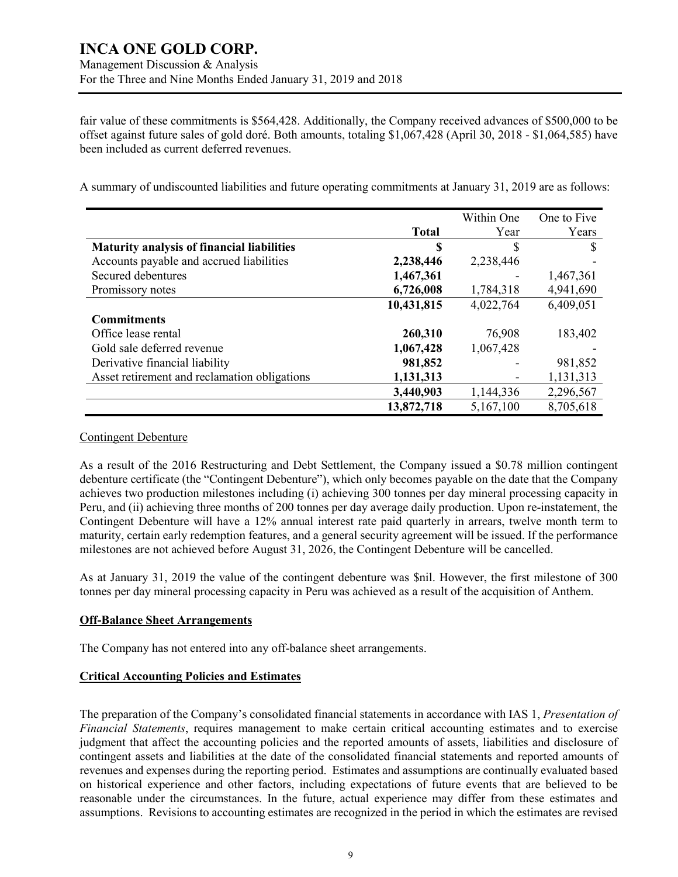fair value of these commitments is \$564,428. Additionally, the Company received advances of \$500,000 to be offset against future sales of gold doré. Both amounts, totaling \$1,067,428 (April 30, 2018 - \$1,064,585) have been included as current deferred revenues.

A summary of undiscounted liabilities and future operating commitments at January 31, 2019 are as follows:

|                                                   |              | Within One | One to Five |
|---------------------------------------------------|--------------|------------|-------------|
|                                                   | <b>Total</b> | Year       | Years       |
| <b>Maturity analysis of financial liabilities</b> | S            | S          | S           |
| Accounts payable and accrued liabilities          | 2,238,446    | 2,238,446  |             |
| Secured debentures                                | 1,467,361    |            | 1,467,361   |
| Promissory notes                                  | 6,726,008    | 1,784,318  | 4,941,690   |
|                                                   | 10,431,815   | 4,022,764  | 6,409,051   |
| <b>Commitments</b>                                |              |            |             |
| Office lease rental                               | 260,310      | 76,908     | 183,402     |
| Gold sale deferred revenue                        | 1,067,428    | 1,067,428  |             |
| Derivative financial liability                    | 981,852      |            | 981,852     |
| Asset retirement and reclamation obligations      | 1,131,313    |            | 1,131,313   |
|                                                   | 3,440,903    | 1,144,336  | 2,296,567   |
|                                                   | 13,872,718   | 5,167,100  | 8,705,618   |

#### Contingent Debenture

As a result of the 2016 Restructuring and Debt Settlement, the Company issued a \$0.78 million contingent debenture certificate (the "Contingent Debenture"), which only becomes payable on the date that the Company achieves two production milestones including (i) achieving 300 tonnes per day mineral processing capacity in Peru, and (ii) achieving three months of 200 tonnes per day average daily production. Upon re-instatement, the Contingent Debenture will have a 12% annual interest rate paid quarterly in arrears, twelve month term to maturity, certain early redemption features, and a general security agreement will be issued. If the performance milestones are not achieved before August 31, 2026, the Contingent Debenture will be cancelled.

As at January 31, 2019 the value of the contingent debenture was \$nil. However, the first milestone of 300 tonnes per day mineral processing capacity in Peru was achieved as a result of the acquisition of Anthem.

# **Off-Balance Sheet Arrangements**

The Company has not entered into any off-balance sheet arrangements.

# **Critical Accounting Policies and Estimates**

The preparation of the Company's consolidated financial statements in accordance with IAS 1, *Presentation of Financial Statements*, requires management to make certain critical accounting estimates and to exercise judgment that affect the accounting policies and the reported amounts of assets, liabilities and disclosure of contingent assets and liabilities at the date of the consolidated financial statements and reported amounts of revenues and expenses during the reporting period. Estimates and assumptions are continually evaluated based on historical experience and other factors, including expectations of future events that are believed to be reasonable under the circumstances. In the future, actual experience may differ from these estimates and assumptions. Revisions to accounting estimates are recognized in the period in which the estimates are revised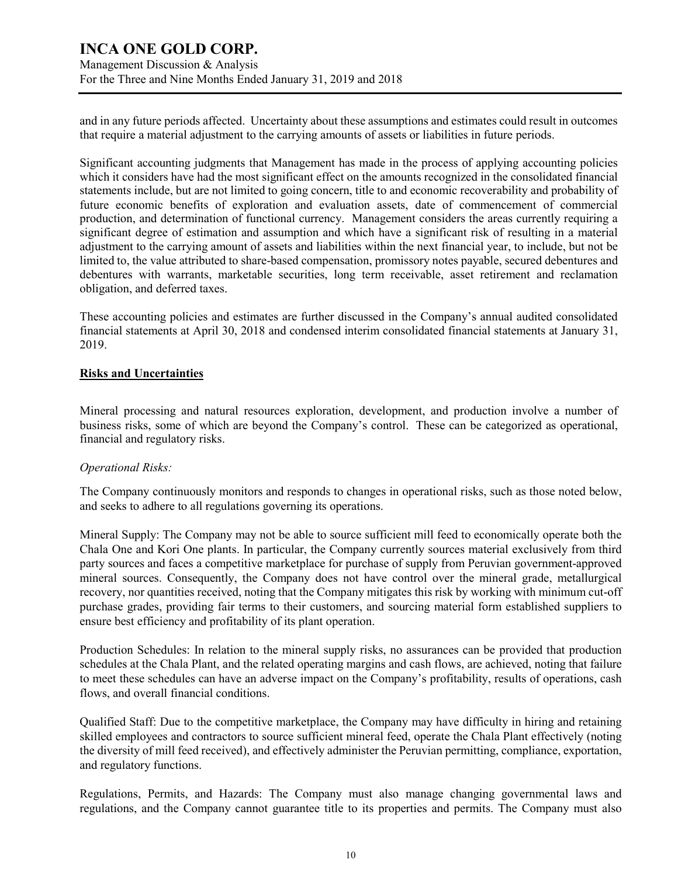Management Discussion & Analysis For the Three and Nine Months Ended January 31, 2019 and 2018

and in any future periods affected. Uncertainty about these assumptions and estimates could result in outcomes that require a material adjustment to the carrying amounts of assets or liabilities in future periods.

Significant accounting judgments that Management has made in the process of applying accounting policies which it considers have had the most significant effect on the amounts recognized in the consolidated financial statements include, but are not limited to going concern, title to and economic recoverability and probability of future economic benefits of exploration and evaluation assets, date of commencement of commercial production, and determination of functional currency. Management considers the areas currently requiring a significant degree of estimation and assumption and which have a significant risk of resulting in a material adjustment to the carrying amount of assets and liabilities within the next financial year, to include, but not be limited to, the value attributed to share-based compensation, promissory notes payable, secured debentures and debentures with warrants, marketable securities, long term receivable, asset retirement and reclamation obligation, and deferred taxes.

These accounting policies and estimates are further discussed in the Company's annual audited consolidated financial statements at April 30, 2018 and condensed interim consolidated financial statements at January 31, 2019.

# **Risks and Uncertainties**

Mineral processing and natural resources exploration, development, and production involve a number of business risks, some of which are beyond the Company's control. These can be categorized as operational, financial and regulatory risks.

#### *Operational Risks:*

The Company continuously monitors and responds to changes in operational risks, such as those noted below, and seeks to adhere to all regulations governing its operations.

Mineral Supply: The Company may not be able to source sufficient mill feed to economically operate both the Chala One and Kori One plants. In particular, the Company currently sources material exclusively from third party sources and faces a competitive marketplace for purchase of supply from Peruvian government-approved mineral sources. Consequently, the Company does not have control over the mineral grade, metallurgical recovery, nor quantities received, noting that the Company mitigates this risk by working with minimum cut-off purchase grades, providing fair terms to their customers, and sourcing material form established suppliers to ensure best efficiency and profitability of its plant operation.

Production Schedules: In relation to the mineral supply risks, no assurances can be provided that production schedules at the Chala Plant, and the related operating margins and cash flows, are achieved, noting that failure to meet these schedules can have an adverse impact on the Company's profitability, results of operations, cash flows, and overall financial conditions.

Qualified Staff: Due to the competitive marketplace, the Company may have difficulty in hiring and retaining skilled employees and contractors to source sufficient mineral feed, operate the Chala Plant effectively (noting the diversity of mill feed received), and effectively administer the Peruvian permitting, compliance, exportation, and regulatory functions.

Regulations, Permits, and Hazards: The Company must also manage changing governmental laws and regulations, and the Company cannot guarantee title to its properties and permits. The Company must also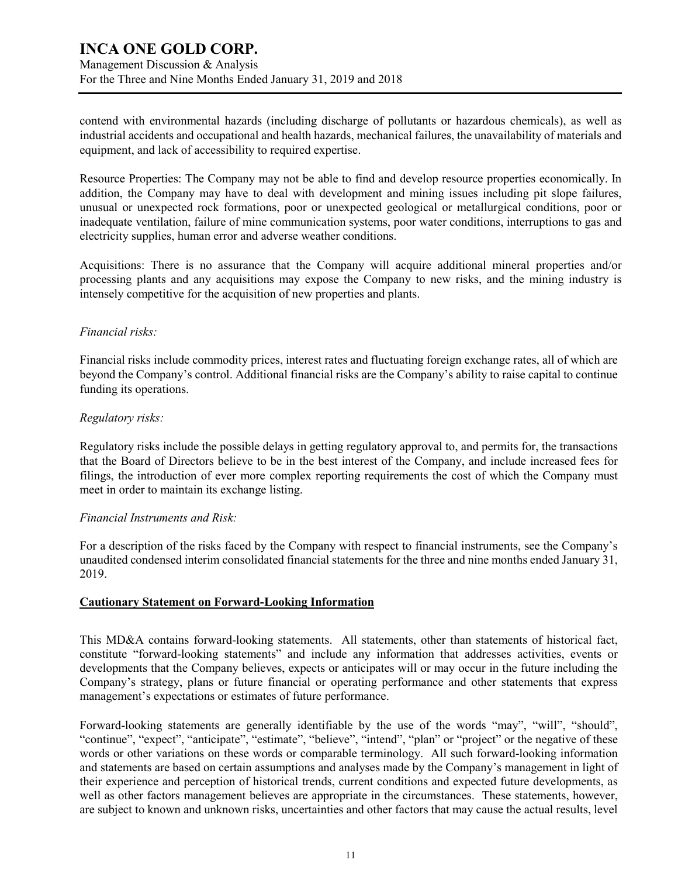# **INCA ONE GOLD CORP.** Management Discussion & Analysis For the Three and Nine Months Ended January 31, 2019 and 2018

contend with environmental hazards (including discharge of pollutants or hazardous chemicals), as well as industrial accidents and occupational and health hazards, mechanical failures, the unavailability of materials and equipment, and lack of accessibility to required expertise.

Resource Properties: The Company may not be able to find and develop resource properties economically. In addition, the Company may have to deal with development and mining issues including pit slope failures, unusual or unexpected rock formations, poor or unexpected geological or metallurgical conditions, poor or inadequate ventilation, failure of mine communication systems, poor water conditions, interruptions to gas and electricity supplies, human error and adverse weather conditions.

Acquisitions: There is no assurance that the Company will acquire additional mineral properties and/or processing plants and any acquisitions may expose the Company to new risks, and the mining industry is intensely competitive for the acquisition of new properties and plants.

# *Financial risks:*

Financial risks include commodity prices, interest rates and fluctuating foreign exchange rates, all of which are beyond the Company's control. Additional financial risks are the Company's ability to raise capital to continue funding its operations.

#### *Regulatory risks:*

Regulatory risks include the possible delays in getting regulatory approval to, and permits for, the transactions that the Board of Directors believe to be in the best interest of the Company, and include increased fees for filings, the introduction of ever more complex reporting requirements the cost of which the Company must meet in order to maintain its exchange listing.

#### *Financial Instruments and Risk:*

For a description of the risks faced by the Company with respect to financial instruments, see the Company's unaudited condensed interim consolidated financial statements for the three and nine months ended January 31, 2019.

# **Cautionary Statement on Forward-Looking Information**

This MD&A contains forward-looking statements. All statements, other than statements of historical fact, constitute "forward-looking statements" and include any information that addresses activities, events or developments that the Company believes, expects or anticipates will or may occur in the future including the Company's strategy, plans or future financial or operating performance and other statements that express management's expectations or estimates of future performance.

Forward-looking statements are generally identifiable by the use of the words "may", "will", "should", "continue", "expect", "anticipate", "estimate", "believe", "intend", "plan" or "project" or the negative of these words or other variations on these words or comparable terminology. All such forward-looking information and statements are based on certain assumptions and analyses made by the Company's management in light of their experience and perception of historical trends, current conditions and expected future developments, as well as other factors management believes are appropriate in the circumstances. These statements, however, are subject to known and unknown risks, uncertainties and other factors that may cause the actual results, level